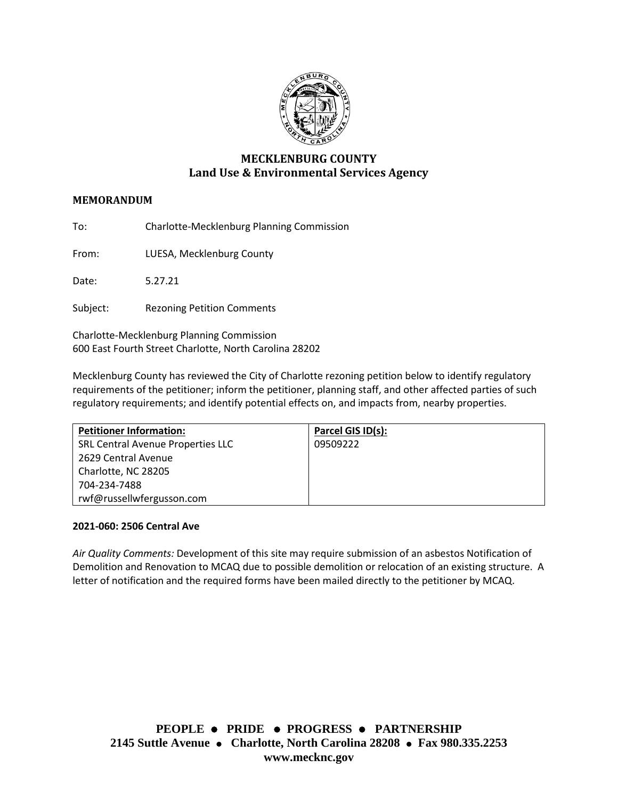

# **MECKLENBURG COUNTY Land Use & Environmental Services Agency**

## **MEMORANDUM**

To: Charlotte-Mecklenburg Planning Commission

From: LUESA, Mecklenburg County

Date: 5.27.21

Subject: Rezoning Petition Comments

Charlotte-Mecklenburg Planning Commission 600 East Fourth Street Charlotte, North Carolina 28202

Mecklenburg County has reviewed the City of Charlotte rezoning petition below to identify regulatory requirements of the petitioner; inform the petitioner, planning staff, and other affected parties of such regulatory requirements; and identify potential effects on, and impacts from, nearby properties.

| <b>Petitioner Information:</b>    | Parcel GIS ID(s): |
|-----------------------------------|-------------------|
| SRL Central Avenue Properties LLC | 09509222          |
| 2629 Central Avenue               |                   |
| Charlotte, NC 28205               |                   |
| 704-234-7488                      |                   |
| rwf@russellwfergusson.com         |                   |

### **2021-060: 2506 Central Ave**

*Air Quality Comments:* Development of this site may require submission of an asbestos Notification of Demolition and Renovation to MCAQ due to possible demolition or relocation of an existing structure. A letter of notification and the required forms have been mailed directly to the petitioner by MCAQ.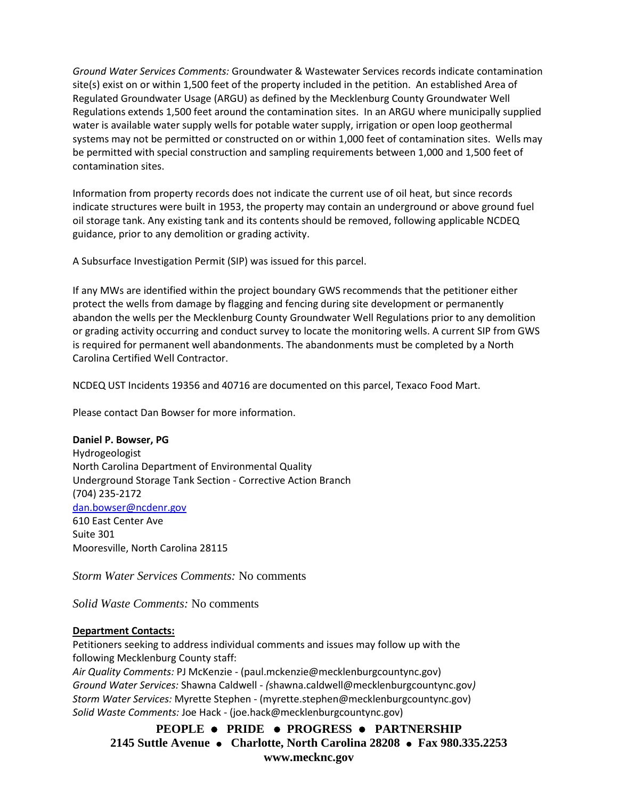*Ground Water Services Comments:* Groundwater & Wastewater Services records indicate contamination site(s) exist on or within 1,500 feet of the property included in the petition. An established Area of Regulated Groundwater Usage (ARGU) as defined by the Mecklenburg County Groundwater Well Regulations extends 1,500 feet around the contamination sites. In an ARGU where municipally supplied water is available water supply wells for potable water supply, irrigation or open loop geothermal systems may not be permitted or constructed on or within 1,000 feet of contamination sites. Wells may be permitted with special construction and sampling requirements between 1,000 and 1,500 feet of contamination sites.

Information from property records does not indicate the current use of oil heat, but since records indicate structures were built in 1953, the property may contain an underground or above ground fuel oil storage tank. Any existing tank and its contents should be removed, following applicable NCDEQ guidance, prior to any demolition or grading activity.

A Subsurface Investigation Permit (SIP) was issued for this parcel.

If any MWs are identified within the project boundary GWS recommends that the petitioner either protect the wells from damage by flagging and fencing during site development or permanently abandon the wells per the Mecklenburg County Groundwater Well Regulations prior to any demolition or grading activity occurring and conduct survey to locate the monitoring wells. A current SIP from GWS is required for permanent well abandonments. The abandonments must be completed by a North Carolina Certified Well Contractor.

NCDEQ UST Incidents 19356 and 40716 are documented on this parcel, Texaco Food Mart.

Please contact Dan Bowser for more information.

**Daniel P. Bowser, PG** Hydrogeologist North Carolina Department of Environmental Quality Underground Storage Tank Section - Corrective Action Branch (704) 235-2172 [dan.bowser@ncdenr.gov](mailto:dan.bowser@ncdenr.gov) 610 East Center Ave Suite 301 Mooresville, North Carolina 28115

*Storm Water Services Comments:* No comments

*Solid Waste Comments:* No comments

### **Department Contacts:**

Petitioners seeking to address individual comments and issues may follow up with the following Mecklenburg County staff:

*Air Quality Comments:* PJ McKenzie - (paul.mckenzie@mecklenburgcountync.gov) *Ground Water Services:* Shawna Caldwell - *(*shawna.caldwell@mecklenburgcountync.gov*) Storm Water Services:* Myrette Stephen - (myrette.stephen@mecklenburgcountync.gov) *Solid Waste Comments:* Joe Hack - (joe.hack@mecklenburgcountync.gov)

**PEOPLE** ⚫ **PRIDE** ⚫ **PROGRESS** ⚫ **PARTNERSHIP 2145 Suttle Avenue** ⚫ **Charlotte, North Carolina 28208** ⚫ **Fax 980.335.2253 www.mecknc.gov**